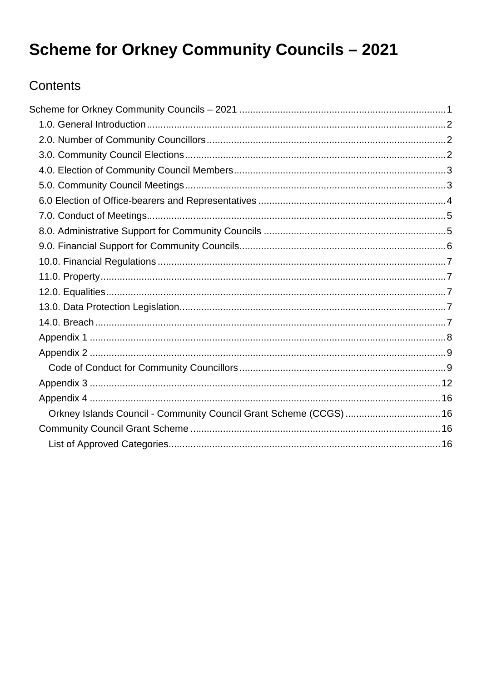# <span id="page-0-0"></span>**Scheme for Orkney Community Councils - 2021**

### Contents

|  | Orkney Islands Council - Community Council Grant Scheme (CCGS)  16 |  |  |
|--|--------------------------------------------------------------------|--|--|
|  |                                                                    |  |  |
|  |                                                                    |  |  |
|  |                                                                    |  |  |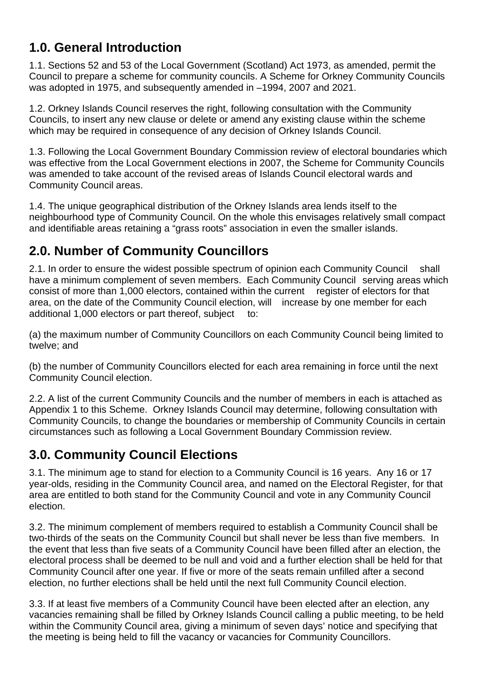### <span id="page-1-0"></span>**1.0. General Introduction**

1.1. Sections 52 and 53 of the Local Government (Scotland) Act 1973, as amended, permit the Council to prepare a scheme for community councils. A Scheme for Orkney Community Councils was adopted in 1975, and subsequently amended in –1994, 2007 and 2021.

1.2. Orkney Islands Council reserves the right, following consultation with the Community Councils, to insert any new clause or delete or amend any existing clause within the scheme which may be required in consequence of any decision of Orkney Islands Council.

1.3. Following the Local Government Boundary Commission review of electoral boundaries which was effective from the Local Government elections in 2007, the Scheme for Community Councils was amended to take account of the revised areas of Islands Council electoral wards and Community Council areas.

1.4. The unique geographical distribution of the Orkney Islands area lends itself to the neighbourhood type of Community Council. On the whole this envisages relatively small compact and identifiable areas retaining a "grass roots" association in even the smaller islands.

# <span id="page-1-1"></span>**2.0. Number of Community Councillors**

2.1. In order to ensure the widest possible spectrum of opinion each Community Council shall have a minimum complement of seven members. Each Community Council serving areas which consist of more than 1,000 electors, contained within the current register of electors for that area, on the date of the Community Council election, will increase by one member for each additional 1,000 electors or part thereof, subject to:

(a) the maximum number of Community Councillors on each Community Council being limited to twelve; and

(b) the number of Community Councillors elected for each area remaining in force until the next Community Council election.

2.2. A list of the current Community Councils and the number of members in each is attached as Appendix 1 to this Scheme. Orkney Islands Council may determine, following consultation with Community Councils, to change the boundaries or membership of Community Councils in certain circumstances such as following a Local Government Boundary Commission review.

### <span id="page-1-2"></span>**3.0. Community Council Elections**

3.1. The minimum age to stand for election to a Community Council is 16 years. Any 16 or 17 year-olds, residing in the Community Council area, and named on the Electoral Register, for that area are entitled to both stand for the Community Council and vote in any Community Council election.

3.2. The minimum complement of members required to establish a Community Council shall be two-thirds of the seats on the Community Council but shall never be less than five members. In the event that less than five seats of a Community Council have been filled after an election, the electoral process shall be deemed to be null and void and a further election shall be held for that Community Council after one year. If five or more of the seats remain unfilled after a second election, no further elections shall be held until the next full Community Council election.

3.3. If at least five members of a Community Council have been elected after an election, any vacancies remaining shall be filled by Orkney Islands Council calling a public meeting, to be held within the Community Council area, giving a minimum of seven days' notice and specifying that the meeting is being held to fill the vacancy or vacancies for Community Councillors.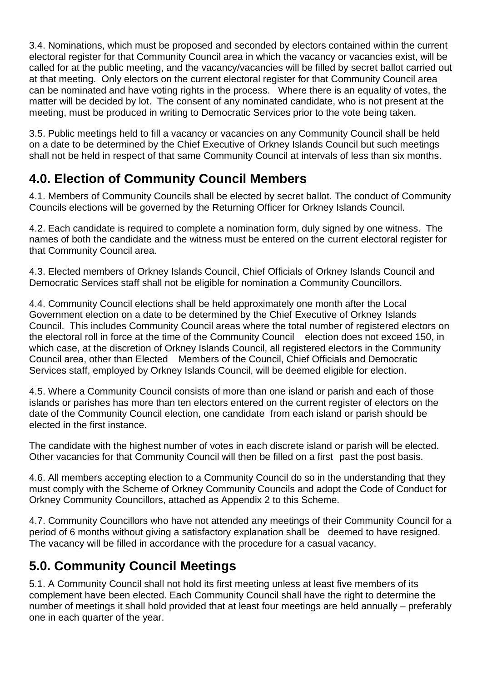3.4. Nominations, which must be proposed and seconded by electors contained within the current electoral register for that Community Council area in which the vacancy or vacancies exist, will be called for at the public meeting, and the vacancy/vacancies will be filled by secret ballot carried out at that meeting. Only electors on the current electoral register for that Community Council area can be nominated and have voting rights in the process. Where there is an equality of votes, the matter will be decided by lot. The consent of any nominated candidate, who is not present at the meeting, must be produced in writing to Democratic Services prior to the vote being taken.

3.5. Public meetings held to fill a vacancy or vacancies on any Community Council shall be held on a date to be determined by the Chief Executive of Orkney Islands Council but such meetings shall not be held in respect of that same Community Council at intervals of less than six months.

# <span id="page-2-0"></span>**4.0. Election of Community Council Members**

4.1. Members of Community Councils shall be elected by secret ballot. The conduct of Community Councils elections will be governed by the Returning Officer for Orkney Islands Council.

4.2. Each candidate is required to complete a nomination form, duly signed by one witness. The names of both the candidate and the witness must be entered on the current electoral register for that Community Council area.

4.3. Elected members of Orkney Islands Council, Chief Officials of Orkney Islands Council and Democratic Services staff shall not be eligible for nomination a Community Councillors.

4.4. Community Council elections shall be held approximately one month after the Local Government election on a date to be determined by the Chief Executive of Orkney Islands Council. This includes Community Council areas where the total number of registered electors on the electoral roll in force at the time of the Community Council election does not exceed 150, in which case, at the discretion of Orkney Islands Council, all registered electors in the Community Council area, other than Elected Members of the Council, Chief Officials and Democratic Services staff, employed by Orkney Islands Council, will be deemed eligible for election.

4.5. Where a Community Council consists of more than one island or parish and each of those islands or parishes has more than ten electors entered on the current register of electors on the date of the Community Council election, one candidate from each island or parish should be elected in the first instance.

The candidate with the highest number of votes in each discrete island or parish will be elected. Other vacancies for that Community Council will then be filled on a first past the post basis.

4.6. All members accepting election to a Community Council do so in the understanding that they must comply with the Scheme of Orkney Community Councils and adopt the Code of Conduct for Orkney Community Councillors, attached as Appendix 2 to this Scheme.

4.7. Community Councillors who have not attended any meetings of their Community Council for a period of 6 months without giving a satisfactory explanation shall be deemed to have resigned. The vacancy will be filled in accordance with the procedure for a casual vacancy.

# <span id="page-2-1"></span>**5.0. Community Council Meetings**

5.1. A Community Council shall not hold its first meeting unless at least five members of its complement have been elected. Each Community Council shall have the right to determine the number of meetings it shall hold provided that at least four meetings are held annually – preferably one in each quarter of the year.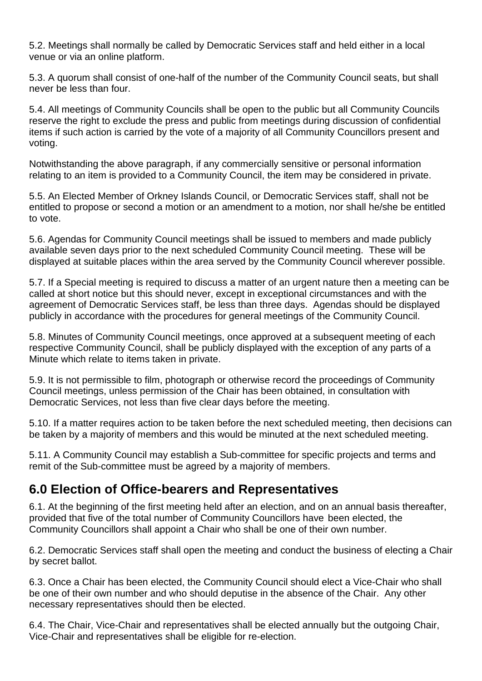5.2. Meetings shall normally be called by Democratic Services staff and held either in a local venue or via an online platform.

5.3. A quorum shall consist of one-half of the number of the Community Council seats, but shall never be less than four.

5.4. All meetings of Community Councils shall be open to the public but all Community Councils reserve the right to exclude the press and public from meetings during discussion of confidential items if such action is carried by the vote of a majority of all Community Councillors present and voting.

Notwithstanding the above paragraph, if any commercially sensitive or personal information relating to an item is provided to a Community Council, the item may be considered in private.

5.5. An Elected Member of Orkney Islands Council, or Democratic Services staff, shall not be entitled to propose or second a motion or an amendment to a motion, nor shall he/she be entitled to vote.

5.6. Agendas for Community Council meetings shall be issued to members and made publicly available seven days prior to the next scheduled Community Council meeting. These will be displayed at suitable places within the area served by the Community Council wherever possible.

5.7. If a Special meeting is required to discuss a matter of an urgent nature then a meeting can be called at short notice but this should never, except in exceptional circumstances and with the agreement of Democratic Services staff, be less than three days. Agendas should be displayed publicly in accordance with the procedures for general meetings of the Community Council.

5.8. Minutes of Community Council meetings, once approved at a subsequent meeting of each respective Community Council, shall be publicly displayed with the exception of any parts of a Minute which relate to items taken in private.

5.9. It is not permissible to film, photograph or otherwise record the proceedings of Community Council meetings, unless permission of the Chair has been obtained, in consultation with Democratic Services, not less than five clear days before the meeting.

5.10. If a matter requires action to be taken before the next scheduled meeting, then decisions can be taken by a majority of members and this would be minuted at the next scheduled meeting.

5.11. A Community Council may establish a Sub-committee for specific projects and terms and remit of the Sub-committee must be agreed by a majority of members.

### <span id="page-3-0"></span>**6.0 Election of Office-bearers and Representatives**

6.1. At the beginning of the first meeting held after an election, and on an annual basis thereafter, provided that five of the total number of Community Councillors have been elected, the Community Councillors shall appoint a Chair who shall be one of their own number.

6.2. Democratic Services staff shall open the meeting and conduct the business of electing a Chair by secret ballot.

6.3. Once a Chair has been elected, the Community Council should elect a Vice-Chair who shall be one of their own number and who should deputise in the absence of the Chair. Any other necessary representatives should then be elected.

6.4. The Chair, Vice-Chair and representatives shall be elected annually but the outgoing Chair, Vice-Chair and representatives shall be eligible for re-election.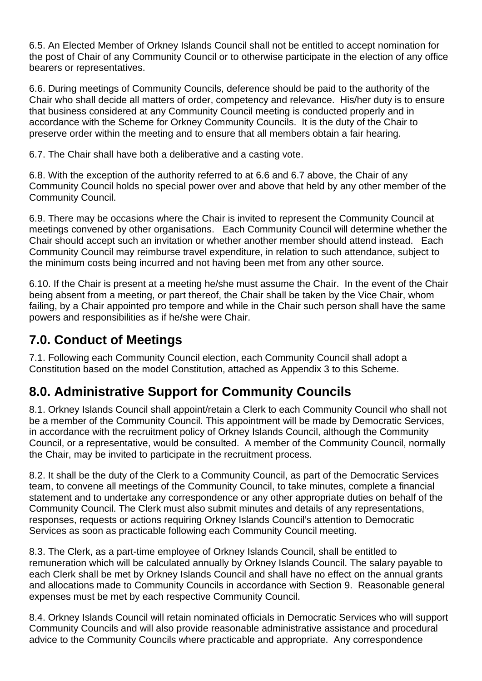6.5. An Elected Member of Orkney Islands Council shall not be entitled to accept nomination for the post of Chair of any Community Council or to otherwise participate in the election of any office bearers or representatives.

6.6. During meetings of Community Councils, deference should be paid to the authority of the Chair who shall decide all matters of order, competency and relevance. His/her duty is to ensure that business considered at any Community Council meeting is conducted properly and in accordance with the Scheme for Orkney Community Councils. It is the duty of the Chair to preserve order within the meeting and to ensure that all members obtain a fair hearing.

6.7. The Chair shall have both a deliberative and a casting vote.

6.8. With the exception of the authority referred to at 6.6 and 6.7 above, the Chair of any Community Council holds no special power over and above that held by any other member of the Community Council.

6.9. There may be occasions where the Chair is invited to represent the Community Council at meetings convened by other organisations. Each Community Council will determine whether the Chair should accept such an invitation or whether another member should attend instead. Each Community Council may reimburse travel expenditure, in relation to such attendance, subject to the minimum costs being incurred and not having been met from any other source.

6.10. If the Chair is present at a meeting he/she must assume the Chair. In the event of the Chair being absent from a meeting, or part thereof, the Chair shall be taken by the Vice Chair, whom failing, by a Chair appointed pro tempore and while in the Chair such person shall have the same powers and responsibilities as if he/she were Chair.

### <span id="page-4-0"></span>**7.0. Conduct of Meetings**

7.1. Following each Community Council election, each Community Council shall adopt a Constitution based on the model Constitution, attached as Appendix 3 to this Scheme.

### <span id="page-4-1"></span>**8.0. Administrative Support for Community Councils**

8.1. Orkney Islands Council shall appoint/retain a Clerk to each Community Council who shall not be a member of the Community Council. This appointment will be made by Democratic Services, in accordance with the recruitment policy of Orkney Islands Council, although the Community Council, or a representative, would be consulted. A member of the Community Council, normally the Chair, may be invited to participate in the recruitment process.

8.2. It shall be the duty of the Clerk to a Community Council, as part of the Democratic Services team, to convene all meetings of the Community Council, to take minutes, complete a financial statement and to undertake any correspondence or any other appropriate duties on behalf of the Community Council. The Clerk must also submit minutes and details of any representations, responses, requests or actions requiring Orkney Islands Council's attention to Democratic Services as soon as practicable following each Community Council meeting.

8.3. The Clerk, as a part-time employee of Orkney Islands Council, shall be entitled to remuneration which will be calculated annually by Orkney Islands Council. The salary payable to each Clerk shall be met by Orkney Islands Council and shall have no effect on the annual grants and allocations made to Community Councils in accordance with Section 9. Reasonable general expenses must be met by each respective Community Council.

8.4. Orkney Islands Council will retain nominated officials in Democratic Services who will support Community Councils and will also provide reasonable administrative assistance and procedural advice to the Community Councils where practicable and appropriate. Any correspondence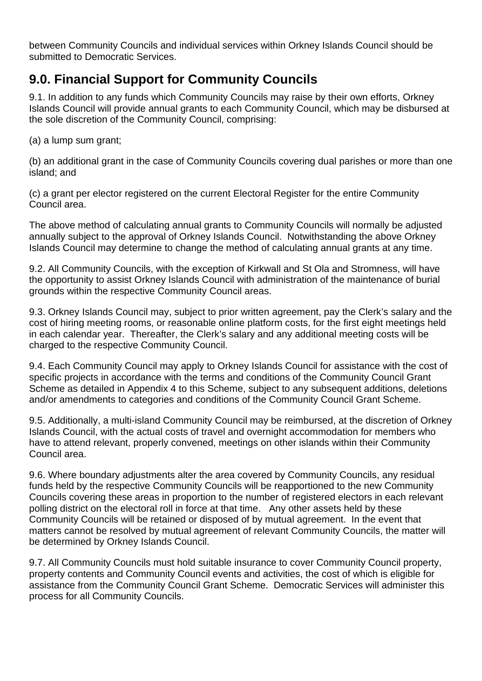between Community Councils and individual services within Orkney Islands Council should be submitted to Democratic Services.

### <span id="page-5-0"></span>**9.0. Financial Support for Community Councils**

9.1. In addition to any funds which Community Councils may raise by their own efforts, Orkney Islands Council will provide annual grants to each Community Council, which may be disbursed at the sole discretion of the Community Council, comprising:

(a) a lump sum grant;

(b) an additional grant in the case of Community Councils covering dual parishes or more than one island; and

(c) a grant per elector registered on the current Electoral Register for the entire Community Council area.

The above method of calculating annual grants to Community Councils will normally be adjusted annually subject to the approval of Orkney Islands Council. Notwithstanding the above Orkney Islands Council may determine to change the method of calculating annual grants at any time.

9.2. All Community Councils, with the exception of Kirkwall and St Ola and Stromness, will have the opportunity to assist Orkney Islands Council with administration of the maintenance of burial grounds within the respective Community Council areas.

9.3. Orkney Islands Council may, subject to prior written agreement, pay the Clerk's salary and the cost of hiring meeting rooms, or reasonable online platform costs, for the first eight meetings held in each calendar year. Thereafter, the Clerk's salary and any additional meeting costs will be charged to the respective Community Council.

9.4. Each Community Council may apply to Orkney Islands Council for assistance with the cost of specific projects in accordance with the terms and conditions of the Community Council Grant Scheme as detailed in Appendix 4 to this Scheme, subject to any subsequent additions, deletions and/or amendments to categories and conditions of the Community Council Grant Scheme.

9.5. Additionally, a multi-island Community Council may be reimbursed, at the discretion of Orkney Islands Council, with the actual costs of travel and overnight accommodation for members who have to attend relevant, properly convened, meetings on other islands within their Community Council area.

9.6. Where boundary adjustments alter the area covered by Community Councils, any residual funds held by the respective Community Councils will be reapportioned to the new Community Councils covering these areas in proportion to the number of registered electors in each relevant polling district on the electoral roll in force at that time. Any other assets held by these Community Councils will be retained or disposed of by mutual agreement. In the event that matters cannot be resolved by mutual agreement of relevant Community Councils, the matter will be determined by Orkney Islands Council.

9.7. All Community Councils must hold suitable insurance to cover Community Council property, property contents and Community Council events and activities, the cost of which is eligible for assistance from the Community Council Grant Scheme. Democratic Services will administer this process for all Community Councils.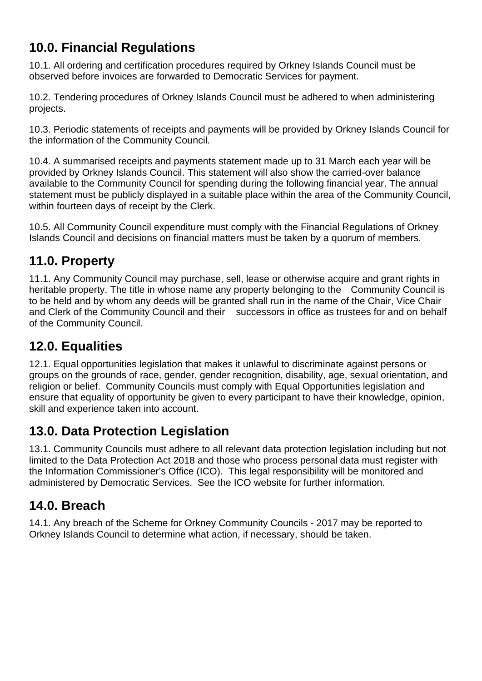# <span id="page-6-0"></span>**10.0. Financial Regulations**

10.1. All ordering and certification procedures required by Orkney Islands Council must be observed before invoices are forwarded to Democratic Services for payment.

10.2. Tendering procedures of Orkney Islands Council must be adhered to when administering projects.

10.3. Periodic statements of receipts and payments will be provided by Orkney Islands Council for the information of the Community Council.

10.4. A summarised receipts and payments statement made up to 31 March each year will be provided by Orkney Islands Council. This statement will also show the carried-over balance available to the Community Council for spending during the following financial year. The annual statement must be publicly displayed in a suitable place within the area of the Community Council, within fourteen days of receipt by the Clerk.

10.5. All Community Council expenditure must comply with the Financial Regulations of Orkney Islands Council and decisions on financial matters must be taken by a quorum of members.

### <span id="page-6-1"></span>**11.0. Property**

11.1. Any Community Council may purchase, sell, lease or otherwise acquire and grant rights in heritable property. The title in whose name any property belonging to the Community Council is to be held and by whom any deeds will be granted shall run in the name of the Chair, Vice Chair and Clerk of the Community Council and their successors in office as trustees for and on behalf of the Community Council.

## <span id="page-6-2"></span>**12.0. Equalities**

12.1. Equal opportunities legislation that makes it unlawful to discriminate against persons or groups on the grounds of race, gender, gender recognition, disability, age, sexual orientation, and religion or belief. Community Councils must comply with Equal Opportunities legislation and ensure that equality of opportunity be given to every participant to have their knowledge, opinion, skill and experience taken into account.

### <span id="page-6-3"></span>**13.0. Data Protection Legislation**

13.1. Community Councils must adhere to all relevant data protection legislation including but not limited to the Data Protection Act 2018 and those who process personal data must register with the Information Commissioner's Office (ICO). This legal responsibility will be monitored and administered by Democratic Services. See the ICO website for further information.

### <span id="page-6-4"></span>**14.0. Breach**

14.1. Any breach of the Scheme for Orkney Community Councils - 2017 may be reported to Orkney Islands Council to determine what action, if necessary, should be taken.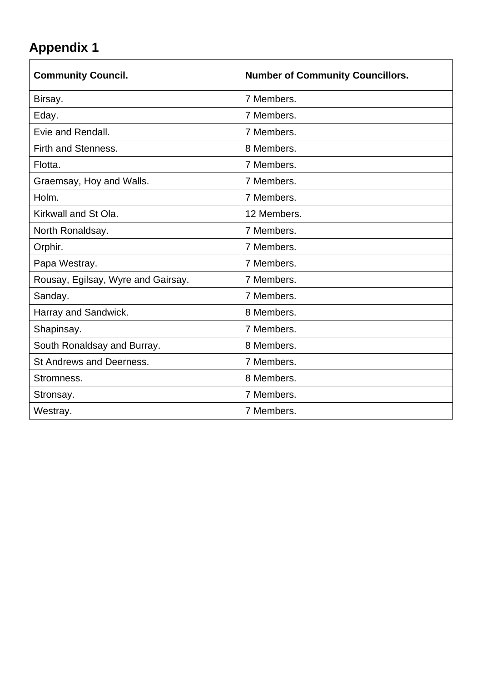<span id="page-7-0"></span>

| <b>Community Council.</b>          | <b>Number of Community Councillors.</b> |
|------------------------------------|-----------------------------------------|
| Birsay.                            | 7 Members.                              |
| Eday.                              | 7 Members.                              |
| Evie and Rendall.                  | 7 Members.                              |
| Firth and Stenness.                | 8 Members.                              |
| Flotta.                            | 7 Members.                              |
| Graemsay, Hoy and Walls.           | 7 Members.                              |
| Holm.                              | 7 Members.                              |
| Kirkwall and St Ola.               | 12 Members.                             |
| North Ronaldsay.                   | 7 Members.                              |
| Orphir.                            | 7 Members.                              |
| Papa Westray.                      | 7 Members.                              |
| Rousay, Egilsay, Wyre and Gairsay. | 7 Members.                              |
| Sanday.                            | 7 Members.                              |
| Harray and Sandwick.               | 8 Members.                              |
| Shapinsay.                         | 7 Members.                              |
| South Ronaldsay and Burray.        | 8 Members.                              |
| St Andrews and Deerness.           | 7 Members.                              |
| Stromness.                         | 8 Members.                              |
| Stronsay.                          | 7 Members.                              |
| Westray.                           | 7 Members.                              |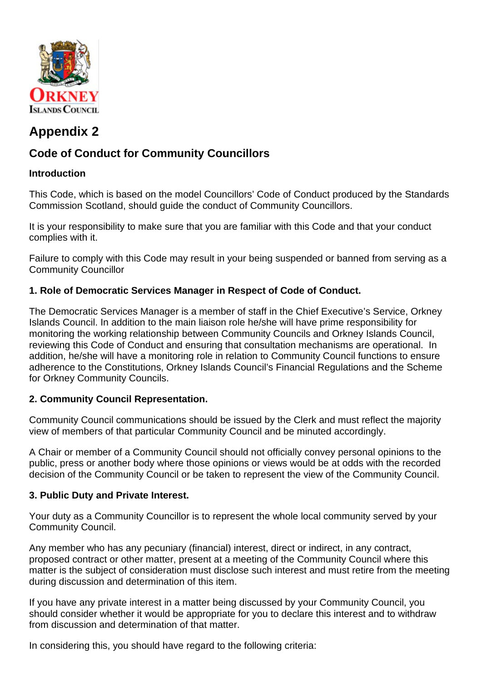

### <span id="page-8-1"></span><span id="page-8-0"></span>**Code of Conduct for Community Councillors**

#### **Introduction**

This Code, which is based on the model Councillors' Code of Conduct produced by the Standards Commission Scotland, should guide the conduct of Community Councillors.

It is your responsibility to make sure that you are familiar with this Code and that your conduct complies with it.

Failure to comply with this Code may result in your being suspended or banned from serving as a Community Councillor

#### **1. Role of Democratic Services Manager in Respect of Code of Conduct.**

The Democratic Services Manager is a member of staff in the Chief Executive's Service, Orkney Islands Council. In addition to the main liaison role he/she will have prime responsibility for monitoring the working relationship between Community Councils and Orkney Islands Council, reviewing this Code of Conduct and ensuring that consultation mechanisms are operational. In addition, he/she will have a monitoring role in relation to Community Council functions to ensure adherence to the Constitutions, Orkney Islands Council's Financial Regulations and the Scheme for Orkney Community Councils.

#### **2. Community Council Representation.**

Community Council communications should be issued by the Clerk and must reflect the majority view of members of that particular Community Council and be minuted accordingly.

A Chair or member of a Community Council should not officially convey personal opinions to the public, press or another body where those opinions or views would be at odds with the recorded decision of the Community Council or be taken to represent the view of the Community Council.

#### **3. Public Duty and Private Interest.**

Your duty as a Community Councillor is to represent the whole local community served by your Community Council.

Any member who has any pecuniary (financial) interest, direct or indirect, in any contract, proposed contract or other matter, present at a meeting of the Community Council where this matter is the subject of consideration must disclose such interest and must retire from the meeting during discussion and determination of this item.

If you have any private interest in a matter being discussed by your Community Council, you should consider whether it would be appropriate for you to declare this interest and to withdraw from discussion and determination of that matter.

In considering this, you should have regard to the following criteria: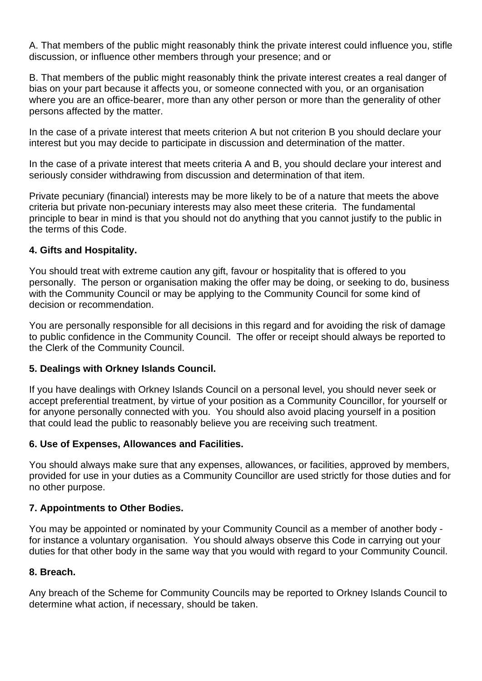A. That members of the public might reasonably think the private interest could influence you, stifle discussion, or influence other members through your presence; and or

B. That members of the public might reasonably think the private interest creates a real danger of bias on your part because it affects you, or someone connected with you, or an organisation where you are an office-bearer, more than any other person or more than the generality of other persons affected by the matter.

In the case of a private interest that meets criterion A but not criterion B you should declare your interest but you may decide to participate in discussion and determination of the matter.

In the case of a private interest that meets criteria A and B, you should declare your interest and seriously consider withdrawing from discussion and determination of that item.

Private pecuniary (financial) interests may be more likely to be of a nature that meets the above criteria but private non-pecuniary interests may also meet these criteria. The fundamental principle to bear in mind is that you should not do anything that you cannot justify to the public in the terms of this Code.

#### **4. Gifts and Hospitality.**

You should treat with extreme caution any gift, favour or hospitality that is offered to you personally. The person or organisation making the offer may be doing, or seeking to do, business with the Community Council or may be applying to the Community Council for some kind of decision or recommendation.

You are personally responsible for all decisions in this regard and for avoiding the risk of damage to public confidence in the Community Council. The offer or receipt should always be reported to the Clerk of the Community Council.

#### **5. Dealings with Orkney Islands Council.**

If you have dealings with Orkney Islands Council on a personal level, you should never seek or accept preferential treatment, by virtue of your position as a Community Councillor, for yourself or for anyone personally connected with you. You should also avoid placing yourself in a position that could lead the public to reasonably believe you are receiving such treatment.

#### **6. Use of Expenses, Allowances and Facilities.**

You should always make sure that any expenses, allowances, or facilities, approved by members, provided for use in your duties as a Community Councillor are used strictly for those duties and for no other purpose.

#### **7. Appointments to Other Bodies.**

You may be appointed or nominated by your Community Council as a member of another body for instance a voluntary organisation. You should always observe this Code in carrying out your duties for that other body in the same way that you would with regard to your Community Council.

#### **8. Breach.**

Any breach of the Scheme for Community Councils may be reported to Orkney Islands Council to determine what action, if necessary, should be taken.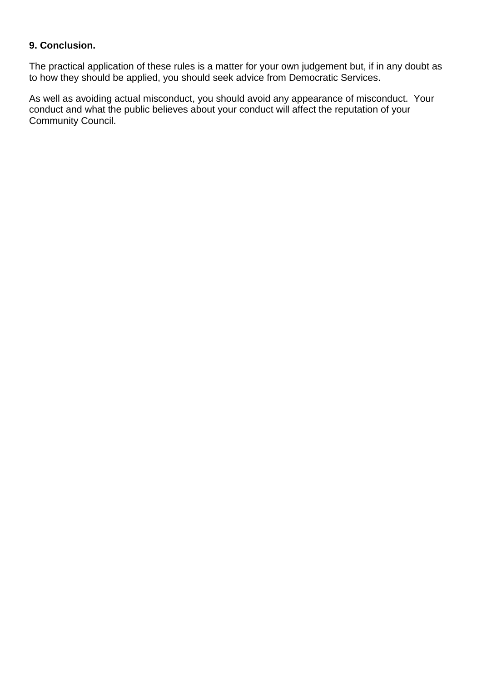#### **9. Conclusion.**

The practical application of these rules is a matter for your own judgement but, if in any doubt as to how they should be applied, you should seek advice from Democratic Services.

As well as avoiding actual misconduct, you should avoid any appearance of misconduct. Your conduct and what the public believes about your conduct will affect the reputation of your Community Council.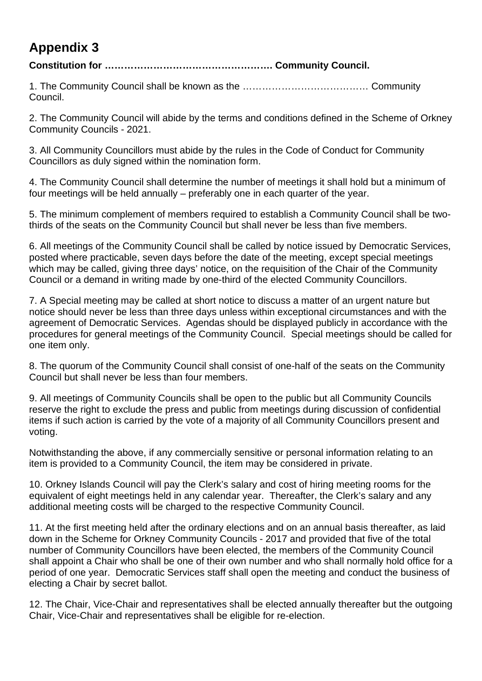#### <span id="page-11-0"></span>**Constitution for ……………………………………………. Community Council.**

1. The Community Council shall be known as the ………………………………… Community Council.

2. The Community Council will abide by the terms and conditions defined in the Scheme of Orkney Community Councils - 2021.

3. All Community Councillors must abide by the rules in the Code of Conduct for Community Councillors as duly signed within the nomination form.

4. The Community Council shall determine the number of meetings it shall hold but a minimum of four meetings will be held annually – preferably one in each quarter of the year.

5. The minimum complement of members required to establish a Community Council shall be twothirds of the seats on the Community Council but shall never be less than five members.

6. All meetings of the Community Council shall be called by notice issued by Democratic Services, posted where practicable, seven days before the date of the meeting, except special meetings which may be called, giving three days' notice, on the requisition of the Chair of the Community Council or a demand in writing made by one-third of the elected Community Councillors.

7. A Special meeting may be called at short notice to discuss a matter of an urgent nature but notice should never be less than three days unless within exceptional circumstances and with the agreement of Democratic Services. Agendas should be displayed publicly in accordance with the procedures for general meetings of the Community Council. Special meetings should be called for one item only.

8. The quorum of the Community Council shall consist of one-half of the seats on the Community Council but shall never be less than four members.

9. All meetings of Community Councils shall be open to the public but all Community Councils reserve the right to exclude the press and public from meetings during discussion of confidential items if such action is carried by the vote of a majority of all Community Councillors present and voting.

Notwithstanding the above, if any commercially sensitive or personal information relating to an item is provided to a Community Council, the item may be considered in private.

10. Orkney Islands Council will pay the Clerk's salary and cost of hiring meeting rooms for the equivalent of eight meetings held in any calendar year. Thereafter, the Clerk's salary and any additional meeting costs will be charged to the respective Community Council.

11. At the first meeting held after the ordinary elections and on an annual basis thereafter, as laid down in the Scheme for Orkney Community Councils - 2017 and provided that five of the total number of Community Councillors have been elected, the members of the Community Council shall appoint a Chair who shall be one of their own number and who shall normally hold office for a period of one year. Democratic Services staff shall open the meeting and conduct the business of electing a Chair by secret ballot.

12. The Chair, Vice-Chair and representatives shall be elected annually thereafter but the outgoing Chair, Vice-Chair and representatives shall be eligible for re-election.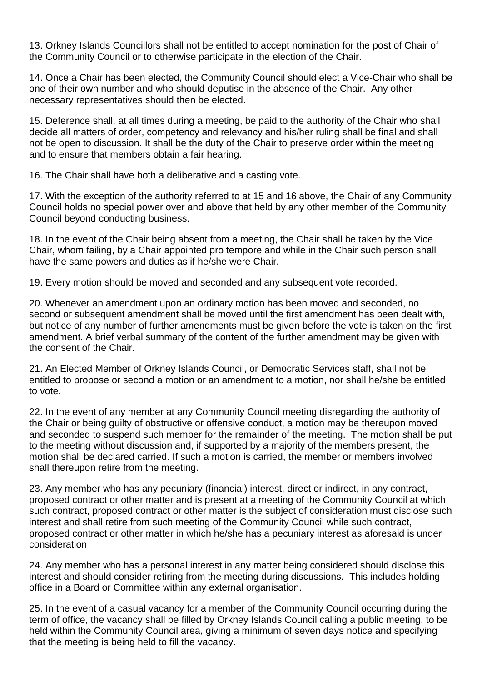13. Orkney Islands Councillors shall not be entitled to accept nomination for the post of Chair of the Community Council or to otherwise participate in the election of the Chair.

14. Once a Chair has been elected, the Community Council should elect a Vice-Chair who shall be one of their own number and who should deputise in the absence of the Chair. Any other necessary representatives should then be elected.

15. Deference shall, at all times during a meeting, be paid to the authority of the Chair who shall decide all matters of order, competency and relevancy and his/her ruling shall be final and shall not be open to discussion. It shall be the duty of the Chair to preserve order within the meeting and to ensure that members obtain a fair hearing.

16. The Chair shall have both a deliberative and a casting vote.

17. With the exception of the authority referred to at 15 and 16 above, the Chair of any Community Council holds no special power over and above that held by any other member of the Community Council beyond conducting business.

18. In the event of the Chair being absent from a meeting, the Chair shall be taken by the Vice Chair, whom failing, by a Chair appointed pro tempore and while in the Chair such person shall have the same powers and duties as if he/she were Chair.

19. Every motion should be moved and seconded and any subsequent vote recorded.

20. Whenever an amendment upon an ordinary motion has been moved and seconded, no second or subsequent amendment shall be moved until the first amendment has been dealt with, but notice of any number of further amendments must be given before the vote is taken on the first amendment. A brief verbal summary of the content of the further amendment may be given with the consent of the Chair.

21. An Elected Member of Orkney Islands Council, or Democratic Services staff, shall not be entitled to propose or second a motion or an amendment to a motion, nor shall he/she be entitled to vote.

22. In the event of any member at any Community Council meeting disregarding the authority of the Chair or being guilty of obstructive or offensive conduct, a motion may be thereupon moved and seconded to suspend such member for the remainder of the meeting. The motion shall be put to the meeting without discussion and, if supported by a majority of the members present, the motion shall be declared carried. If such a motion is carried, the member or members involved shall thereupon retire from the meeting.

23. Any member who has any pecuniary (financial) interest, direct or indirect, in any contract, proposed contract or other matter and is present at a meeting of the Community Council at which such contract, proposed contract or other matter is the subject of consideration must disclose such interest and shall retire from such meeting of the Community Council while such contract, proposed contract or other matter in which he/she has a pecuniary interest as aforesaid is under consideration

24. Any member who has a personal interest in any matter being considered should disclose this interest and should consider retiring from the meeting during discussions. This includes holding office in a Board or Committee within any external organisation.

25. In the event of a casual vacancy for a member of the Community Council occurring during the term of office, the vacancy shall be filled by Orkney Islands Council calling a public meeting, to be held within the Community Council area, giving a minimum of seven days notice and specifying that the meeting is being held to fill the vacancy.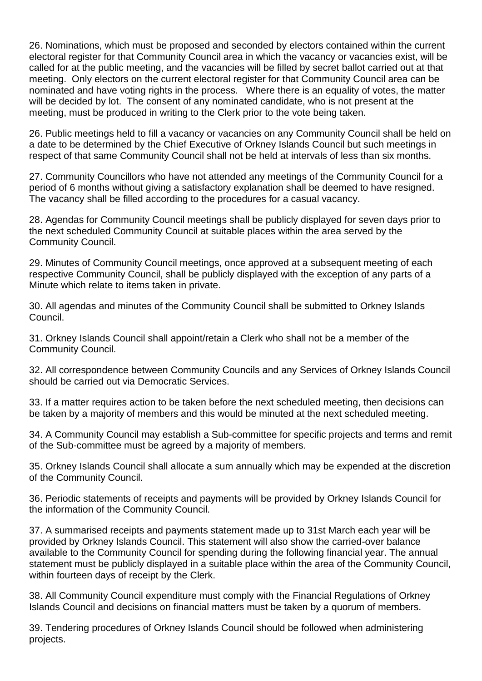26. Nominations, which must be proposed and seconded by electors contained within the current electoral register for that Community Council area in which the vacancy or vacancies exist, will be called for at the public meeting, and the vacancies will be filled by secret ballot carried out at that meeting. Only electors on the current electoral register for that Community Council area can be nominated and have voting rights in the process. Where there is an equality of votes, the matter will be decided by lot. The consent of any nominated candidate, who is not present at the meeting, must be produced in writing to the Clerk prior to the vote being taken.

26. Public meetings held to fill a vacancy or vacancies on any Community Council shall be held on a date to be determined by the Chief Executive of Orkney Islands Council but such meetings in respect of that same Community Council shall not be held at intervals of less than six months.

27. Community Councillors who have not attended any meetings of the Community Council for a period of 6 months without giving a satisfactory explanation shall be deemed to have resigned. The vacancy shall be filled according to the procedures for a casual vacancy.

28. Agendas for Community Council meetings shall be publicly displayed for seven days prior to the next scheduled Community Council at suitable places within the area served by the Community Council.

29. Minutes of Community Council meetings, once approved at a subsequent meeting of each respective Community Council, shall be publicly displayed with the exception of any parts of a Minute which relate to items taken in private.

30. All agendas and minutes of the Community Council shall be submitted to Orkney Islands Council.

31. Orkney Islands Council shall appoint/retain a Clerk who shall not be a member of the Community Council.

32. All correspondence between Community Councils and any Services of Orkney Islands Council should be carried out via Democratic Services.

33. If a matter requires action to be taken before the next scheduled meeting, then decisions can be taken by a majority of members and this would be minuted at the next scheduled meeting.

34. A Community Council may establish a Sub-committee for specific projects and terms and remit of the Sub-committee must be agreed by a majority of members.

35. Orkney Islands Council shall allocate a sum annually which may be expended at the discretion of the Community Council.

36. Periodic statements of receipts and payments will be provided by Orkney Islands Council for the information of the Community Council.

37. A summarised receipts and payments statement made up to 31st March each year will be provided by Orkney Islands Council. This statement will also show the carried-over balance available to the Community Council for spending during the following financial year. The annual statement must be publicly displayed in a suitable place within the area of the Community Council, within fourteen days of receipt by the Clerk.

38. All Community Council expenditure must comply with the Financial Regulations of Orkney Islands Council and decisions on financial matters must be taken by a quorum of members.

39. Tendering procedures of Orkney Islands Council should be followed when administering projects.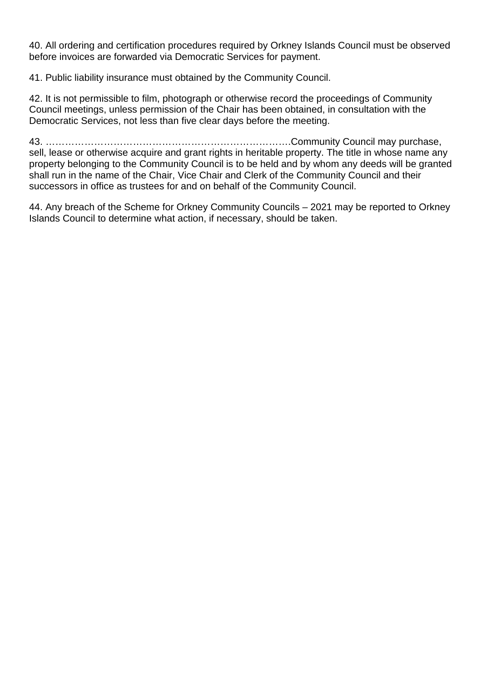40. All ordering and certification procedures required by Orkney Islands Council must be observed before invoices are forwarded via Democratic Services for payment.

41. Public liability insurance must obtained by the Community Council.

42. It is not permissible to film, photograph or otherwise record the proceedings of Community Council meetings, unless permission of the Chair has been obtained, in consultation with the Democratic Services, not less than five clear days before the meeting.

43. ………………………………………………………………….Community Council may purchase, sell, lease or otherwise acquire and grant rights in heritable property. The title in whose name any property belonging to the Community Council is to be held and by whom any deeds will be granted shall run in the name of the Chair, Vice Chair and Clerk of the Community Council and their successors in office as trustees for and on behalf of the Community Council.

44. Any breach of the Scheme for Orkney Community Councils – 2021 may be reported to Orkney Islands Council to determine what action, if necessary, should be taken.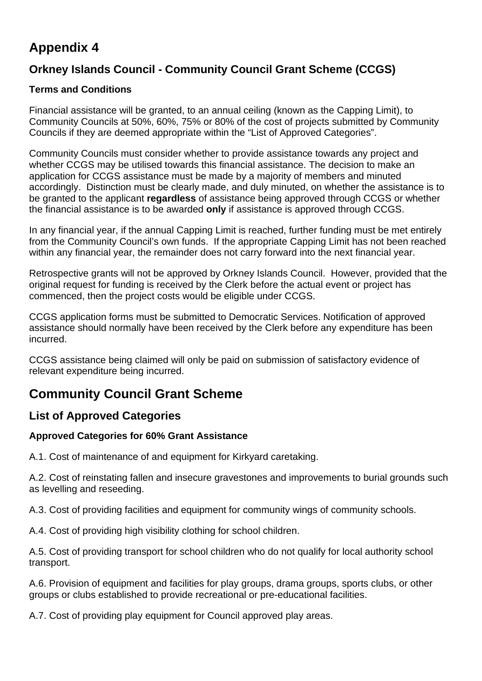### <span id="page-15-1"></span><span id="page-15-0"></span>**Orkney Islands Council - Community Council Grant Scheme (CCGS)**

#### **Terms and Conditions**

Financial assistance will be granted, to an annual ceiling (known as the Capping Limit), to Community Councils at 50%, 60%, 75% or 80% of the cost of projects submitted by Community Councils if they are deemed appropriate within the "List of Approved Categories".

Community Councils must consider whether to provide assistance towards any project and whether CCGS may be utilised towards this financial assistance. The decision to make an application for CCGS assistance must be made by a majority of members and minuted accordingly. Distinction must be clearly made, and duly minuted, on whether the assistance is to be granted to the applicant **regardless** of assistance being approved through CCGS or whether the financial assistance is to be awarded **only** if assistance is approved through CCGS.

In any financial year, if the annual Capping Limit is reached, further funding must be met entirely from the Community Council's own funds. If the appropriate Capping Limit has not been reached within any financial year, the remainder does not carry forward into the next financial year.

Retrospective grants will not be approved by Orkney Islands Council. However, provided that the original request for funding is received by the Clerk before the actual event or project has commenced, then the project costs would be eligible under CCGS.

CCGS application forms must be submitted to Democratic Services. Notification of approved assistance should normally have been received by the Clerk before any expenditure has been incurred.

CCGS assistance being claimed will only be paid on submission of satisfactory evidence of relevant expenditure being incurred.

### <span id="page-15-2"></span>**Community Council Grant Scheme**

### <span id="page-15-3"></span>**List of Approved Categories**

#### **Approved Categories for 60% Grant Assistance**

A.1. Cost of maintenance of and equipment for Kirkyard caretaking.

A.2. Cost of reinstating fallen and insecure gravestones and improvements to burial grounds such as levelling and reseeding.

A.3. Cost of providing facilities and equipment for community wings of community schools.

A.4. Cost of providing high visibility clothing for school children.

A.5. Cost of providing transport for school children who do not qualify for local authority school transport.

A.6. Provision of equipment and facilities for play groups, drama groups, sports clubs, or other groups or clubs established to provide recreational or pre-educational facilities.

A.7. Cost of providing play equipment for Council approved play areas.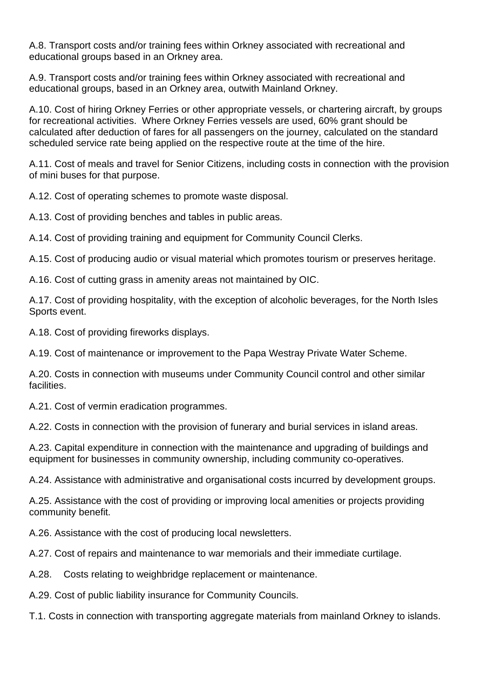A.8. Transport costs and/or training fees within Orkney associated with recreational and educational groups based in an Orkney area.

A.9. Transport costs and/or training fees within Orkney associated with recreational and educational groups, based in an Orkney area, outwith Mainland Orkney.

A.10. Cost of hiring Orkney Ferries or other appropriate vessels, or chartering aircraft, by groups for recreational activities. Where Orkney Ferries vessels are used, 60% grant should be calculated after deduction of fares for all passengers on the journey, calculated on the standard scheduled service rate being applied on the respective route at the time of the hire.

A.11. Cost of meals and travel for Senior Citizens, including costs in connection with the provision of mini buses for that purpose.

A.12. Cost of operating schemes to promote waste disposal.

A.13. Cost of providing benches and tables in public areas.

A.14. Cost of providing training and equipment for Community Council Clerks.

A.15. Cost of producing audio or visual material which promotes tourism or preserves heritage.

A.16. Cost of cutting grass in amenity areas not maintained by OIC.

A.17. Cost of providing hospitality, with the exception of alcoholic beverages, for the North Isles Sports event.

A.18. Cost of providing fireworks displays.

A.19. Cost of maintenance or improvement to the Papa Westray Private Water Scheme.

A.20. Costs in connection with museums under Community Council control and other similar facilities.

A.21. Cost of vermin eradication programmes.

A.22. Costs in connection with the provision of funerary and burial services in island areas.

A.23. Capital expenditure in connection with the maintenance and upgrading of buildings and equipment for businesses in community ownership, including community co-operatives.

A.24. Assistance with administrative and organisational costs incurred by development groups.

A.25. Assistance with the cost of providing or improving local amenities or projects providing community benefit.

A.26. Assistance with the cost of producing local newsletters.

A.27. Cost of repairs and maintenance to war memorials and their immediate curtilage.

A.28. Costs relating to weighbridge replacement or maintenance.

A.29. Cost of public liability insurance for Community Councils.

T.1. Costs in connection with transporting aggregate materials from mainland Orkney to islands.